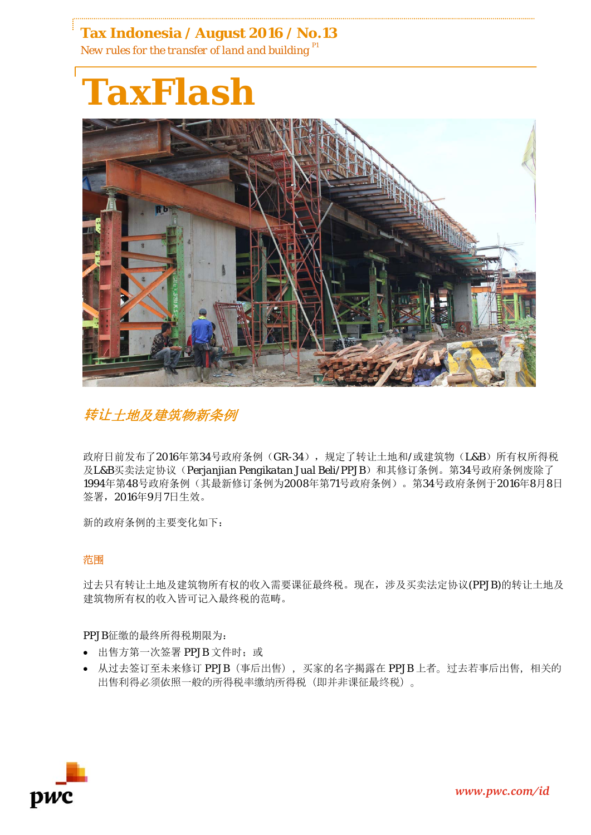**Tax Indonesia / August 2016 / No.13** *New rules for the transfer of land and building P1*





**转让**土地及建筑物新条例

政府日前发布了2016年第34号政府条例(GR-34),规定了转让土地和/或建筑物(L&B)所有权所得税 及L&B买卖法定协议(Perjanjian Pengikatan Jual Beli/PPJB)和其修订条例。第34号政府条例废除了 1994年第48号政府条例(其最新修订条例为2008年第71号政府条例)。第34号政府条例于2016年8月8日 签署,2016年9月7日生效。

新的政府条例的主要变化如下:

# 范围

过去只有转让土地及建筑物所有权的收入需要课征最终税。现在,涉及买卖法定协议(PPJB)的转让土地及 建筑物所有权的收入皆可记入最终税的范畴。

PPJB征缴的最终所得税期限为:

- 出售方第一次签署 PPJB 文件时; 或
- 从过去签订至未来修订 PPJB (事后出售), 买家的名字揭露在 PPJB 上者。过去若事后出售, 相关的 出售利得必须依照一般的所得税率缴纳所得税(即并非课征最终税)。

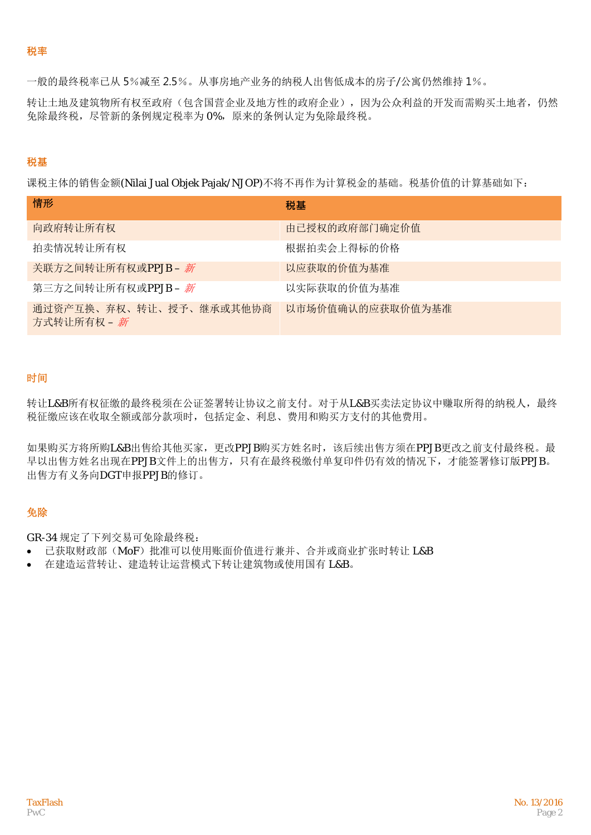#### **税率**

一般的最终税率已从 5%减至 2.5%。从事房地产业务的纳税人出售低成本的房子/公寓仍然维持 1%。

转让土地及建筑物所有权至政府(包含国营企业及地方性的政府企业),因为公众利益的开发而需购买土地者,仍然 免除最终税,尽管新的条例规定税率为 0%,原来的条例认定为免除最终税。

### **税基**

课税主体的销售金额(Nilai Jual Objek Pajak/NJOP)不将不再作为计算税金的基础。税基价值的计算基础如下:

| 情形                                     | 税基               |
|----------------------------------------|------------------|
| 向政府转让所有权                               | 由己授权的政府部门确定价值    |
| 拍卖情况转让所有权                              | 根据拍卖会上得标的价格      |
| 关联方之间转让所有权或PPJB-新                      | 以应获取的价值为基准       |
| 第三方之间转让所有权或PPJB – 新                    | 以实际获取的价值为基准      |
| 通过资产互换、弃权、转让、授予、继承或其他协商<br>方式转让所有权 - 新 | 以市场价值确认的应获取价值为基准 |

### 时间

转让L&B所有权征缴的最终税须在公证签署转让协议之前支付。对于从L&B买卖法定协议中赚取所得的纳税人,最终 税征缴应该在收取全额或部分款项时,包括定金、利息、费用和购买方支付的其他费用。

如果购买方将所购L&B出售给其他买家,更改PPJB购买方姓名时,该后续出售方须在PPJB更改之前支付最终税。最 早以出售方姓名出现在PPJB文件上的出售方,只有在最终税缴付单复印件仍有效的情况下,才能签署修订版PPJB。 出售方有义务向DGT申报PPJB的修订。

# 免除

GR-34 规定了下列交易可免除最终税:

- 已获取财政部(MoF)批准可以使用账面价值进行兼并、合并或商业扩张时转让 L&B
- 在建造运营转让、建造转让运营模式下转让建筑物或使用国有 L&B。